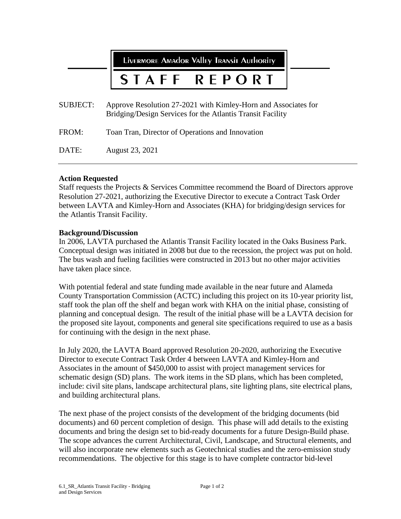LIVERMORE AMAdor Valley TRANSIT AUTHORITY

## STAFF REPORT

| <b>SUBJECT:</b> | Approve Resolution 27-2021 with Kimley-Horn and Associates for<br>Bridging/Design Services for the Atlantis Transit Facility |
|-----------------|------------------------------------------------------------------------------------------------------------------------------|
| FROM:           | Toan Tran, Director of Operations and Innovation                                                                             |
| DATE:           | August 23, 2021                                                                                                              |

# **Action Requested**

Staff requests the Projects & Services Committee recommend the Board of Directors approve Resolution 27-2021, authorizing the Executive Director to execute a Contract Task Order between LAVTA and Kimley-Horn and Associates (KHA) for bridging/design services for the Atlantis Transit Facility.

### **Background/Discussion**

In 2006, LAVTA purchased the Atlantis Transit Facility located in the Oaks Business Park. Conceptual design was initiated in 2008 but due to the recession, the project was put on hold. The bus wash and fueling facilities were constructed in 2013 but no other major activities have taken place since.

With potential federal and state funding made available in the near future and Alameda County Transportation Commission (ACTC) including this project on its 10-year priority list, staff took the plan off the shelf and began work with KHA on the initial phase, consisting of planning and conceptual design. The result of the initial phase will be a LAVTA decision for the proposed site layout, components and general site specifications required to use as a basis for continuing with the design in the next phase.

In July 2020, the LAVTA Board approved Resolution 20-2020, authorizing the Executive Director to execute Contract Task Order 4 between LAVTA and Kimley-Horn and Associates in the amount of \$450,000 to assist with project management services for schematic design (SD) plans. The work items in the SD plans, which has been completed, include: civil site plans, landscape architectural plans, site lighting plans, site electrical plans, and building architectural plans.

The next phase of the project consists of the development of the bridging documents (bid documents) and 60 percent completion of design. This phase will add details to the existing documents and bring the design set to bid-ready documents for a future Design-Build phase. The scope advances the current Architectural, Civil, Landscape, and Structural elements, and will also incorporate new elements such as Geotechnical studies and the zero-emission study recommendations. The objective for this stage is to have complete contractor bid-level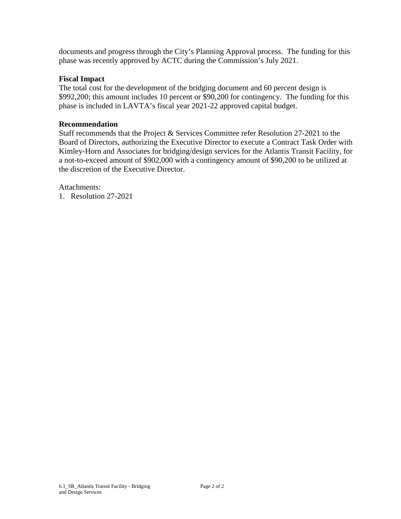documents and progress through the City's Planning Approval process. The funding for this phase was recently approved by ACTC during the Commission's July 2021.

## **Fiscal Impact**

The total cost for the development of the bridging document and 60 percent design is \$992,200; this amount includes 10 percent or \$90,200 for contingency. The funding for this phase is included in LAVTA's fiscal year 2021-22 approved capital budget.

### **Recommendation**

Staff recommends that the Project & Services Committee refer Resolution 27-2021 to the Board of Directors, authorizing the Executive Director to execute a Contract Task Order with Kimley-Horn and Associates for bridging/design services for the Atlantis Transit Facility, for a not-to-exceed amount of \$902,000 with a contingency amount of \$90,200 to be utilized at the discretion of the Executive Director.

Attachments:

1. Resolution 27-2021